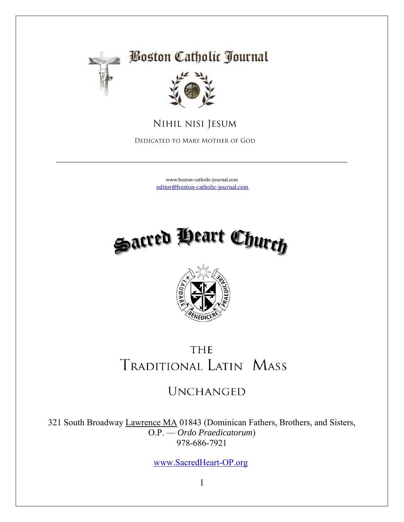

## **Boston Catholic Journal**



 **Nihil nisi Jesum**

 **Dedicated to Mary Mother of God**

[www.boston-catholic-journal.com](http://www.boston-catholic-journal.com/) [editor@boston-catholic-journal.com](mailto:editor@boston-catholic-journal.com)

 $\_$  , and the contribution of the contribution of  $\mathcal{L}_\mathcal{A}$  , and the contribution of  $\mathcal{L}_\mathcal{A}$ 





## **THE TRADITIONAL LATIN MASS**

## **UNCHANGED**

321 South Broadway Lawrence MA 01843 (Dominican Fathers, Brothers, and Sisters, O.P. — *Ordo Praedicatorum*) 978-686-7921

[www.SacredHeart-OP.org](http://www.sacredheart-op.org/)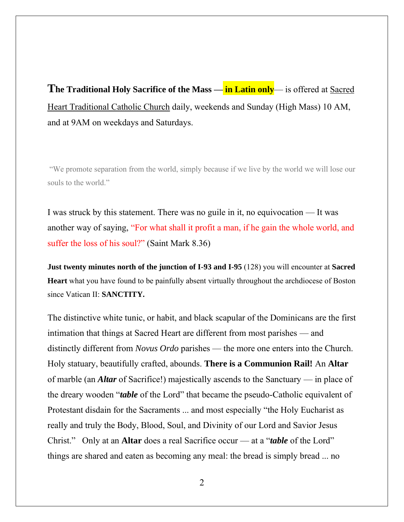**The Traditional Holy Sacrifice of the Mass — in Latin only**— is offered at Sacred Heart Traditional Catholic Church daily, weekends and Sunday (High Mass) 10 AM, and at 9AM on weekdays and Saturdays.

"We promote separation from the world, simply because if we live by the world we will lose our souls to the world."

I was struck by this statement. There was no guile in it, no equivocation — It was another way of saying, "For what shall it profit a man, if he gain the whole world, and suffer the loss of his soul?" (Saint Mark 8.36)

**Just twenty minutes north of the junction of I-93 and I-95** (128) you will encounter at **Sacred Heart** what you have found to be painfully absent virtually throughout the archdiocese of Boston since Vatican II: **SANCTITY.** 

The distinctive white tunic, or habit, and black scapular of the Dominicans are the first intimation that things at Sacred Heart are different from most parishes — and distinctly different from *Novus Ordo* parishes — the more one enters into the Church. Holy statuary, beautifully crafted, abounds. **There is a Communion Rail!** An **Altar** of marble (an *Altar* of Sacrifice!) majestically ascends to the Sanctuary — in place of the dreary wooden "*table* of the Lord" that became the pseudo-Catholic equivalent of Protestant disdain for the Sacraments ... and most especially "the Holy Eucharist as really and truly the Body, Blood, Soul, and Divinity of our Lord and Savior Jesus Christ." Only at an **Altar** does a real Sacrifice occur — at a "*table* of the Lord" things are shared and eaten as becoming any meal: the bread is simply bread ... no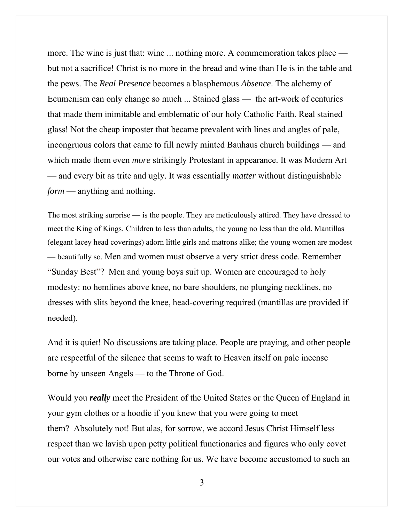more. The wine is just that: wine ... nothing more. A commemoration takes place but not a sacrifice! Christ is no more in the bread and wine than He is in the table and the pews. The *Real Presence* becomes a blasphemous *Absence*. The alchemy of Ecumenism can only change so much ... Stained glass — the art-work of centuries that made them inimitable and emblematic of our holy Catholic Faith. Real stained glass! Not the cheap imposter that became prevalent with lines and angles of pale, incongruous colors that came to fill newly minted Bauhaus church buildings — and which made them even *more* strikingly Protestant in appearance. It was Modern Art — and every bit as trite and ugly. It was essentially *matter* without distinguishable *form* — anything and nothing.

The most striking surprise — is the people. They are meticulously attired. They have dressed to meet the King of Kings. Children to less than adults, the young no less than the old. Mantillas (elegant lacey head coverings) adorn little girls and matrons alike; the young women are modest — beautifully so. Men and women must observe a very strict dress code. Remember "Sunday Best"? Men and young boys suit up. Women are encouraged to holy modesty: no hemlines above knee, no bare shoulders, no plunging necklines, no dresses with slits beyond the knee, head-covering required (mantillas are provided if needed).

And it is quiet! No discussions are taking place. People are praying, and other people are respectful of the silence that seems to waft to Heaven itself on pale incense borne by unseen Angels — to the Throne of God.

Would you *really* meet the President of the United States or the Queen of England in your gym clothes or a hoodie if you knew that you were going to meet them? Absolutely not! But alas, for sorrow, we accord Jesus Christ Himself less respect than we lavish upon petty political functionaries and figures who only covet our votes and otherwise care nothing for us. We have become accustomed to such an